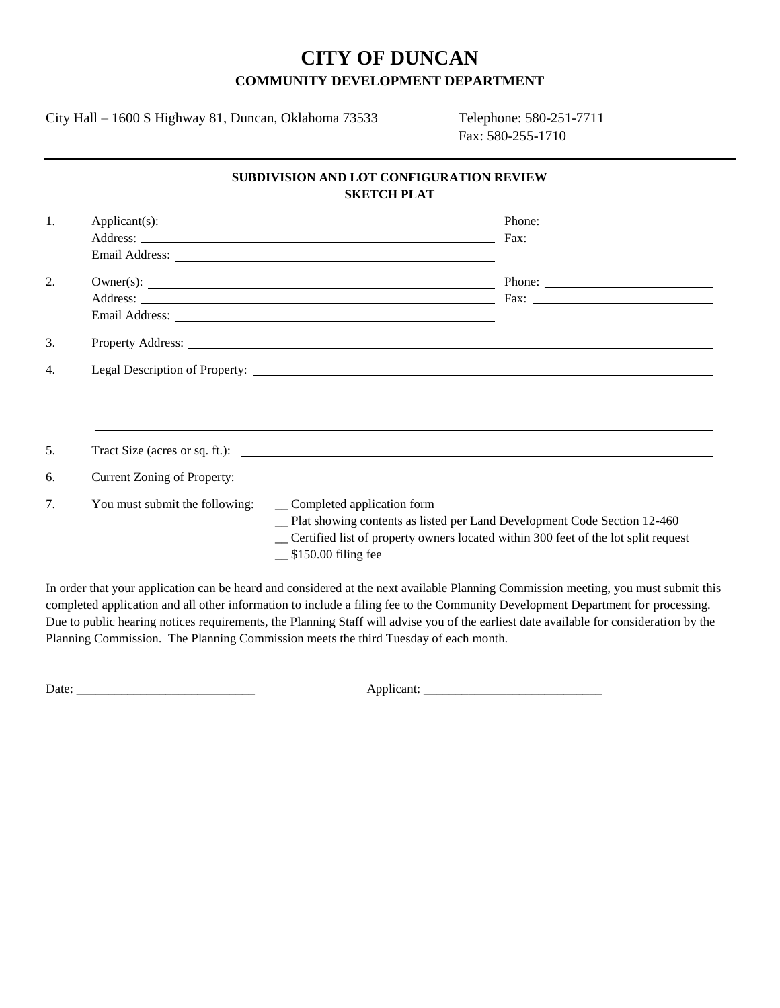## **CITY OF DUNCAN COMMUNITY DEVELOPMENT DEPARTMENT**

City Hall – 1600 S Highway 81, Duncan, Oklahoma 73533 Telephone: 580-251-7711

Fax: 580-255-1710

## **SUBDIVISION AND LOT CONFIGURATION REVIEW SKETCH PLAT**

| 1. |                                |                                                                                                                                                                                                                                     |
|----|--------------------------------|-------------------------------------------------------------------------------------------------------------------------------------------------------------------------------------------------------------------------------------|
|    |                                |                                                                                                                                                                                                                                     |
|    |                                |                                                                                                                                                                                                                                     |
| 2. |                                | $Owner(s):$ Phone: Phone: Phone: Phone: Phone: Phone: Phone: Phone: Phone: Phone: Phone: Phone: Phone: Phone: Phone: Phone: Phone: Phone: Phone: Phone: Phone: Phone: Phone: Phone: Phone: Phone: Phone: Phone: Phone: Phone: Phone |
|    |                                |                                                                                                                                                                                                                                     |
|    |                                |                                                                                                                                                                                                                                     |
| 3. |                                | Property Address: New York Contract to the Contract of the Contract of the Contract of the Contract of the Contract of the Contract of the Contract of the Contract of the Contract of the Contract of the Contract of the Con      |
| 4. |                                |                                                                                                                                                                                                                                     |
|    |                                |                                                                                                                                                                                                                                     |
|    |                                |                                                                                                                                                                                                                                     |
|    |                                |                                                                                                                                                                                                                                     |
| 5. |                                |                                                                                                                                                                                                                                     |
| 6. |                                |                                                                                                                                                                                                                                     |
| 7. | You must submit the following: | _ Completed application form                                                                                                                                                                                                        |
|    |                                | _ Plat showing contents as listed per Land Development Code Section 12-460<br>_ Certified list of property owners located within 300 feet of the lot split request<br>$\frac{\$150.00}{\$}$ filing fee                              |

In order that your application can be heard and considered at the next available Planning Commission meeting, you must submit this completed application and all other information to include a filing fee to the Community Development Department for processing. Due to public hearing notices requirements, the Planning Staff will advise you of the earliest date available for consideration by the Planning Commission. The Planning Commission meets the third Tuesday of each month.

Date: \_\_\_\_\_\_\_\_\_\_\_\_\_\_\_\_\_\_\_\_\_\_\_\_\_\_\_\_ Applicant: \_\_\_\_\_\_\_\_\_\_\_\_\_\_\_\_\_\_\_\_\_\_\_\_\_\_\_\_